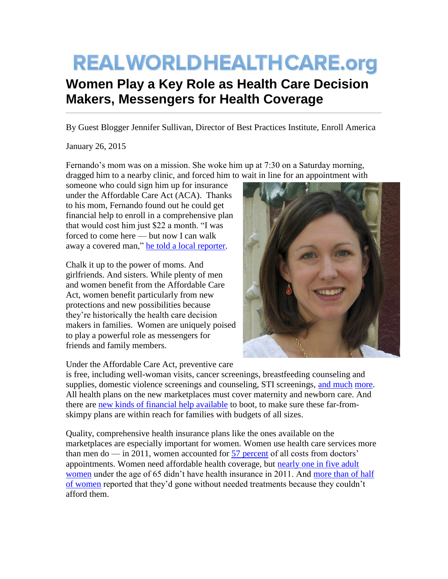## **REALWORLDHEALTHCARE.org**

## **Women Play a Key Role as Health Care Decision Makers, Messengers for Health Coverage**

By Guest Blogger Jennifer Sullivan, Director of Best Practices Institute, Enroll America

 $\_$  ,  $\_$  ,  $\_$  ,  $\_$  ,  $\_$  ,  $\_$  ,  $\_$  ,  $\_$  ,  $\_$  ,  $\_$  ,  $\_$  ,  $\_$  ,  $\_$  ,  $\_$  ,  $\_$  ,  $\_$  ,  $\_$  ,  $\_$  ,  $\_$  ,  $\_$  ,  $\_$  ,  $\_$  ,  $\_$  ,  $\_$  ,  $\_$  ,  $\_$  ,  $\_$  ,  $\_$  ,  $\_$  ,  $\_$  ,  $\_$  ,  $\_$  ,  $\_$  ,  $\_$  ,  $\_$  ,  $\_$  ,  $\_$  ,

January 26, 2015

Fernando's mom was on a mission. She woke him up at 7:30 on a Saturday morning, dragged him to a nearby clinic, and forced him to wait in line for an appointment with

someone who could sign him up for insurance under the Affordable Care Act (ACA). Thanks to his mom, Fernando found out he could get financial help to enroll in a comprehensive plan that would cost him just \$22 a month. "I was forced to come here — but now I can walk away a covered man," [he told a local reporter.](http://www.elpasotimes.com/news/ci_25353816/enroll-el-paso-makes-push-get-residents-enrolled)

Chalk it up to the power of moms. And girlfriends. And sisters. While plenty of men and women benefit from the Affordable Care Act, women benefit particularly from new protections and new possibilities because they're historically the health care decision makers in families. Women are uniquely poised to play a powerful role as messengers for friends and family members.



Under the Affordable Care Act, preventive care

is free, including well-woman visits, cancer screenings, breastfeeding counseling and supplies, domestic violence screenings and counseling, STI screenings, [and much](https://www.getcoveredamerica.org/get-covered-101/what-will-insurance-plan-cover/) [more.](https://www.healthcare.gov/preventive-care-benefits/) All health plans on the new marketplaces must cover maternity and newborn care. And there are [new kinds of financial help available](https://www.getcoveredamerica.org/get-covered-101/how-much-will-insurance-cost/) to boot, to make sure these far-fromskimpy plans are within reach for families with budgets of all sizes.

Quality, comprehensive health insurance plans like the ones available on the marketplaces are especially important for women. Women use health care services more than men do — in 2011, women accounted for [57 percent](http://www.dol.gov/ebsa/newsroom/fshlth5.html) of all costs from doctors' appointments. Women need affordable health coverage, but [nearly one in five adult](http://www.dol.gov/ebsa/newsroom/fshlth5.html)  [women](http://www.dol.gov/ebsa/newsroom/fshlth5.html) under the age of 65 didn't have health insurance in 2011. And [more than of half](http://www.whitehouse.gov/files/documents/health_reform_for_women.pdf)  [of women](http://www.whitehouse.gov/files/documents/health_reform_for_women.pdf) reported that they'd gone without needed treatments because they couldn't afford them.